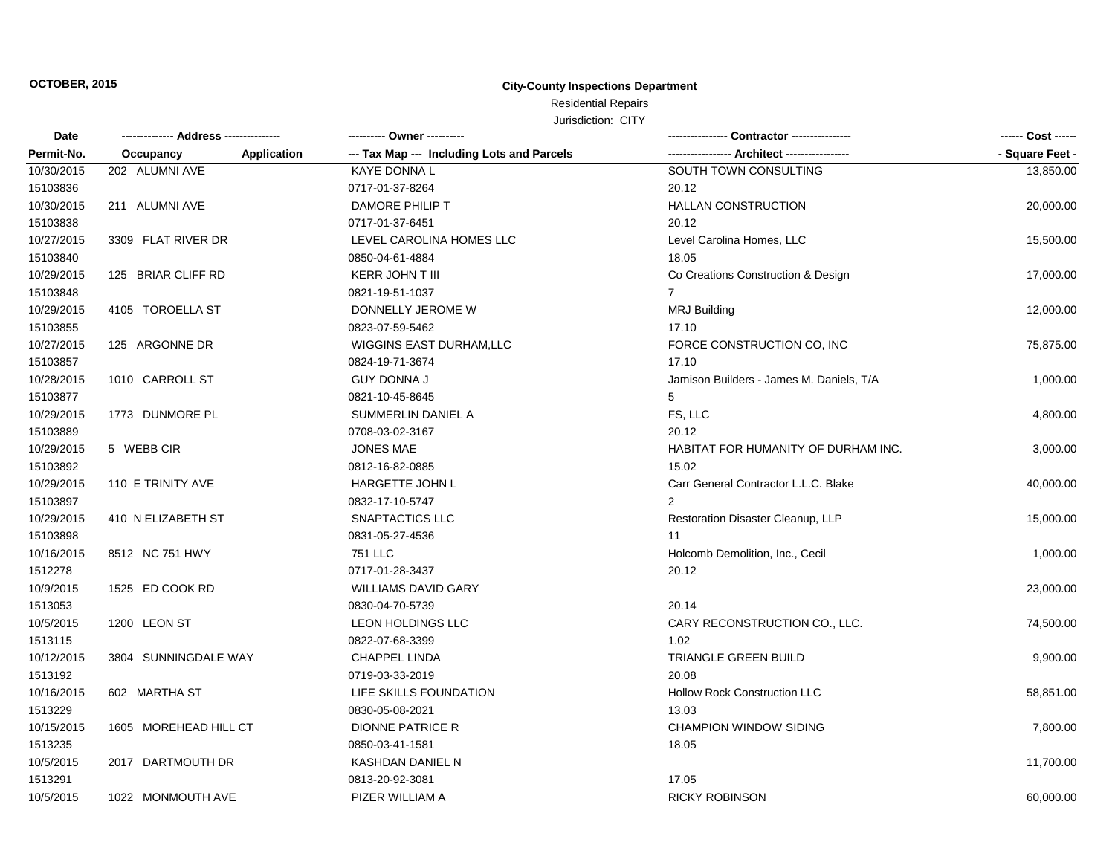### Residential Repairs Jurisdiction: CITY

|  |  | JUISUILUIL UIT |  |
|--|--|----------------|--|
|  |  |                |  |

| Date       | -------------- Address --------------- |             | --------- Owner ----------                 |                                          | ------ Cost ------ |
|------------|----------------------------------------|-------------|--------------------------------------------|------------------------------------------|--------------------|
| Permit-No. | Occupancy                              | Application | --- Tax Map --- Including Lots and Parcels | --- Architect ------------------         | - Square Feet -    |
| 10/30/2015 | 202 ALUMNI AVE                         |             | <b>KAYE DONNA L</b>                        | SOUTH TOWN CONSULTING                    | 13,850.00          |
| 15103836   |                                        |             | 0717-01-37-8264                            | 20.12                                    |                    |
| 10/30/2015 | 211 ALUMNI AVE                         |             | DAMORE PHILIP T                            | <b>HALLAN CONSTRUCTION</b>               | 20,000.00          |
| 15103838   |                                        |             | 0717-01-37-6451                            | 20.12                                    |                    |
| 10/27/2015 | 3309 FLAT RIVER DR                     |             | LEVEL CAROLINA HOMES LLC                   | Level Carolina Homes, LLC                | 15,500.00          |
| 15103840   |                                        |             | 0850-04-61-4884                            | 18.05                                    |                    |
| 10/29/2015 | 125 BRIAR CLIFF RD                     |             | <b>KERR JOHN T III</b>                     | Co Creations Construction & Design       | 17,000.00          |
| 15103848   |                                        |             | 0821-19-51-1037                            | $\overline{7}$                           |                    |
| 10/29/2015 | 4105 TOROELLA ST                       |             | DONNELLY JEROME W                          | <b>MRJ Building</b>                      | 12,000.00          |
| 15103855   |                                        |             | 0823-07-59-5462                            | 17.10                                    |                    |
| 10/27/2015 | 125 ARGONNE DR                         |             | <b>WIGGINS EAST DURHAM, LLC</b>            | FORCE CONSTRUCTION CO. INC               | 75,875.00          |
| 15103857   |                                        |             | 0824-19-71-3674                            | 17.10                                    |                    |
| 10/28/2015 | 1010 CARROLL ST                        |             | <b>GUY DONNA J</b>                         | Jamison Builders - James M. Daniels, T/A | 1,000.00           |
| 15103877   |                                        |             | 0821-10-45-8645                            | 5                                        |                    |
| 10/29/2015 | 1773 DUNMORE PL                        |             | SUMMERLIN DANIEL A                         | FS, LLC                                  | 4,800.00           |
| 15103889   |                                        |             | 0708-03-02-3167                            | 20.12                                    |                    |
| 10/29/2015 | 5 WEBB CIR                             |             | <b>JONES MAE</b>                           | HABITAT FOR HUMANITY OF DURHAM INC.      | 3,000.00           |
| 15103892   |                                        |             | 0812-16-82-0885                            | 15.02                                    |                    |
| 10/29/2015 | 110 E TRINITY AVE                      |             | HARGETTE JOHN L                            | Carr General Contractor L.L.C. Blake     | 40,000.00          |
| 15103897   |                                        |             | 0832-17-10-5747                            |                                          |                    |
| 10/29/2015 | 410 N ELIZABETH ST                     |             | SNAPTACTICS LLC                            | Restoration Disaster Cleanup, LLP        | 15,000.00          |
| 15103898   |                                        |             | 0831-05-27-4536                            | 11                                       |                    |
| 10/16/2015 | 8512 NC 751 HWY                        |             | <b>751 LLC</b>                             | Holcomb Demolition, Inc., Cecil          | 1,000.00           |
| 1512278    |                                        |             | 0717-01-28-3437                            | 20.12                                    |                    |
| 10/9/2015  | 1525 ED COOK RD                        |             | <b>WILLIAMS DAVID GARY</b>                 |                                          | 23,000.00          |
| 1513053    |                                        |             | 0830-04-70-5739                            | 20.14                                    |                    |
| 10/5/2015  | 1200 LEON ST                           |             | <b>LEON HOLDINGS LLC</b>                   | CARY RECONSTRUCTION CO., LLC.            | 74,500.00          |
| 1513115    |                                        |             | 0822-07-68-3399                            | 1.02                                     |                    |
| 10/12/2015 | 3804 SUNNINGDALE WAY                   |             | <b>CHAPPEL LINDA</b>                       | TRIANGLE GREEN BUILD                     | 9,900.00           |
| 1513192    |                                        |             | 0719-03-33-2019                            | 20.08                                    |                    |
| 10/16/2015 | 602 MARTHA ST                          |             | LIFE SKILLS FOUNDATION                     | <b>Hollow Rock Construction LLC</b>      | 58,851.00          |
| 1513229    |                                        |             | 0830-05-08-2021                            | 13.03                                    |                    |
| 10/15/2015 | 1605 MOREHEAD HILL CT                  |             | <b>DIONNE PATRICE R</b>                    | <b>CHAMPION WINDOW SIDING</b>            | 7,800.00           |
| 1513235    |                                        |             | 0850-03-41-1581                            | 18.05                                    |                    |
| 10/5/2015  | 2017 DARTMOUTH DR                      |             | KASHDAN DANIEL N                           |                                          | 11,700.00          |
| 1513291    |                                        |             | 0813-20-92-3081                            | 17.05                                    |                    |
| 10/5/2015  | 1022 MONMOUTH AVE                      |             | PIZER WILLIAM A                            | <b>RICKY ROBINSON</b>                    | 60,000.00          |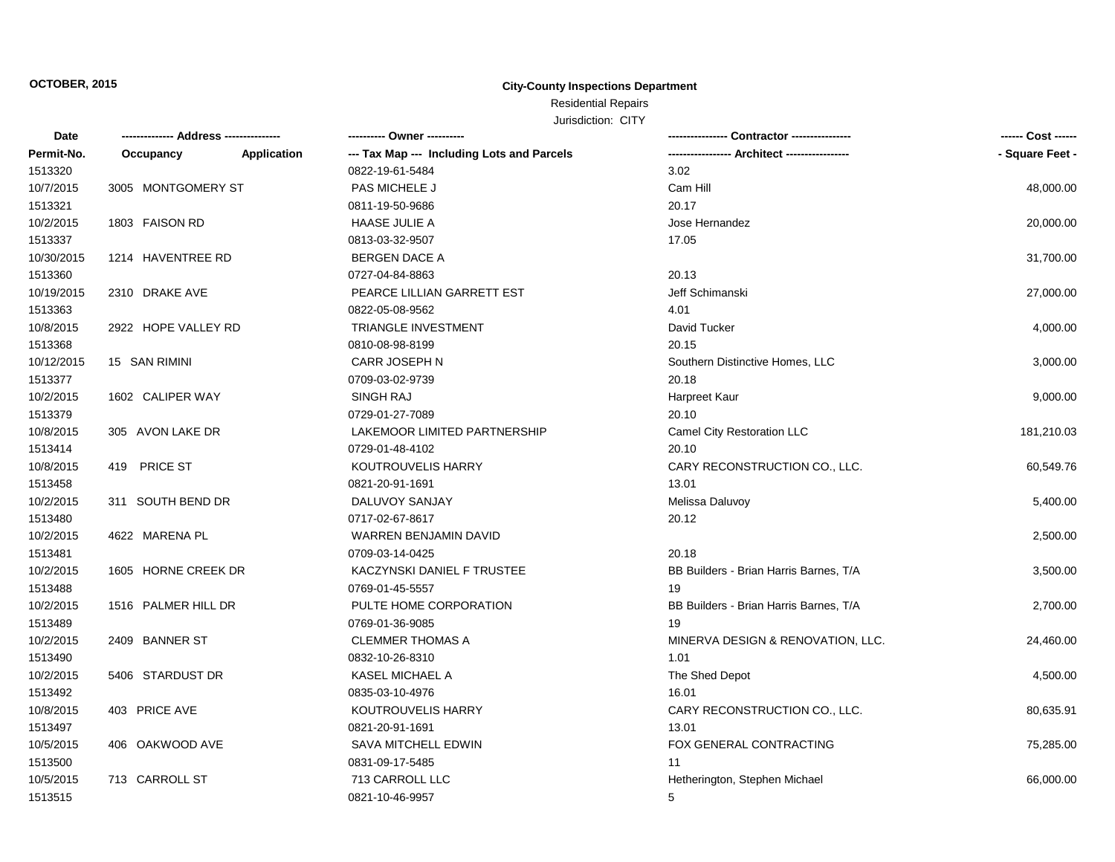### Residential Repairs Jurisdiction: CITY

| JUISCICION. UIIT |  |  |
|------------------|--|--|
|                  |  |  |

| Date       |                     |             | ---------- Owner ----------                |                                              | ------ Cost ------ |
|------------|---------------------|-------------|--------------------------------------------|----------------------------------------------|--------------------|
| Permit-No. | Occupancy           | Application | --- Tax Map --- Including Lots and Parcels | --- Architect -------------<br>------------- | - Square Feet -    |
| 1513320    |                     |             | 0822-19-61-5484                            | 3.02                                         |                    |
| 10/7/2015  | 3005 MONTGOMERY ST  |             | PAS MICHELE J                              | Cam Hill                                     | 48,000.00          |
| 1513321    |                     |             | 0811-19-50-9686                            | 20.17                                        |                    |
| 10/2/2015  | 1803 FAISON RD      |             | <b>HAASE JULIE A</b>                       | Jose Hernandez                               | 20,000.00          |
| 1513337    |                     |             | 0813-03-32-9507                            | 17.05                                        |                    |
| 10/30/2015 | 1214 HAVENTREE RD   |             | <b>BERGEN DACE A</b>                       |                                              | 31,700.00          |
| 1513360    |                     |             | 0727-04-84-8863                            | 20.13                                        |                    |
| 10/19/2015 | 2310 DRAKE AVE      |             | PEARCE LILLIAN GARRETT EST                 | Jeff Schimanski                              | 27,000.00          |
| 1513363    |                     |             | 0822-05-08-9562                            | 4.01                                         |                    |
| 10/8/2015  | 2922 HOPE VALLEY RD |             | <b>TRIANGLE INVESTMENT</b>                 | David Tucker                                 | 4,000.00           |
| 1513368    |                     |             | 0810-08-98-8199                            | 20.15                                        |                    |
| 10/12/2015 | 15 SAN RIMINI       |             | CARR JOSEPH N                              | Southern Distinctive Homes, LLC              | 3,000.00           |
| 1513377    |                     |             | 0709-03-02-9739                            | 20.18                                        |                    |
| 10/2/2015  | 1602 CALIPER WAY    |             | SINGH RAJ                                  | Harpreet Kaur                                | 9,000.00           |
| 1513379    |                     |             | 0729-01-27-7089                            | 20.10                                        |                    |
| 10/8/2015  | 305 AVON LAKE DR    |             | LAKEMOOR LIMITED PARTNERSHIP               | Camel City Restoration LLC                   | 181,210.03         |
| 1513414    |                     |             | 0729-01-48-4102                            | 20.10                                        |                    |
| 10/8/2015  | 419 PRICE ST        |             | KOUTROUVELIS HARRY                         | CARY RECONSTRUCTION CO., LLC.                | 60,549.76          |
| 1513458    |                     |             | 0821-20-91-1691                            | 13.01                                        |                    |
| 10/2/2015  | 311 SOUTH BEND DR   |             | DALUVOY SANJAY                             | Melissa Daluvoy                              | 5,400.00           |
| 1513480    |                     |             | 0717-02-67-8617                            | 20.12                                        |                    |
| 10/2/2015  | 4622 MARENA PL      |             | WARREN BENJAMIN DAVID                      |                                              | 2,500.00           |
| 1513481    |                     |             | 0709-03-14-0425                            | 20.18                                        |                    |
| 10/2/2015  | 1605 HORNE CREEK DR |             | KACZYNSKI DANIEL F TRUSTEE                 | BB Builders - Brian Harris Barnes, T/A       | 3,500.00           |
| 1513488    |                     |             | 0769-01-45-5557                            | 19                                           |                    |
| 10/2/2015  | 1516 PALMER HILL DR |             | PULTE HOME CORPORATION                     | BB Builders - Brian Harris Barnes, T/A       | 2,700.00           |
| 1513489    |                     |             | 0769-01-36-9085                            | 19                                           |                    |
| 10/2/2015  | 2409 BANNER ST      |             | <b>CLEMMER THOMAS A</b>                    | MINERVA DESIGN & RENOVATION, LLC.            | 24,460.00          |
| 1513490    |                     |             | 0832-10-26-8310                            | 1.01                                         |                    |
| 10/2/2015  | 5406 STARDUST DR    |             | <b>KASEL MICHAEL A</b>                     | The Shed Depot                               | 4,500.00           |
| 1513492    |                     |             | 0835-03-10-4976                            | 16.01                                        |                    |
| 10/8/2015  | 403 PRICE AVE       |             | <b>KOUTROUVELIS HARRY</b>                  | CARY RECONSTRUCTION CO., LLC.                | 80,635.91          |
| 1513497    |                     |             | 0821-20-91-1691                            | 13.01                                        |                    |
| 10/5/2015  | 406 OAKWOOD AVE     |             | SAVA MITCHELL EDWIN                        | FOX GENERAL CONTRACTING                      | 75,285.00          |
| 1513500    |                     |             | 0831-09-17-5485                            | 11                                           |                    |
| 10/5/2015  | 713 CARROLL ST      |             | 713 CARROLL LLC                            | Hetherington, Stephen Michael                | 66,000.00          |
| 1513515    |                     |             | 0821-10-46-9957                            | 5                                            |                    |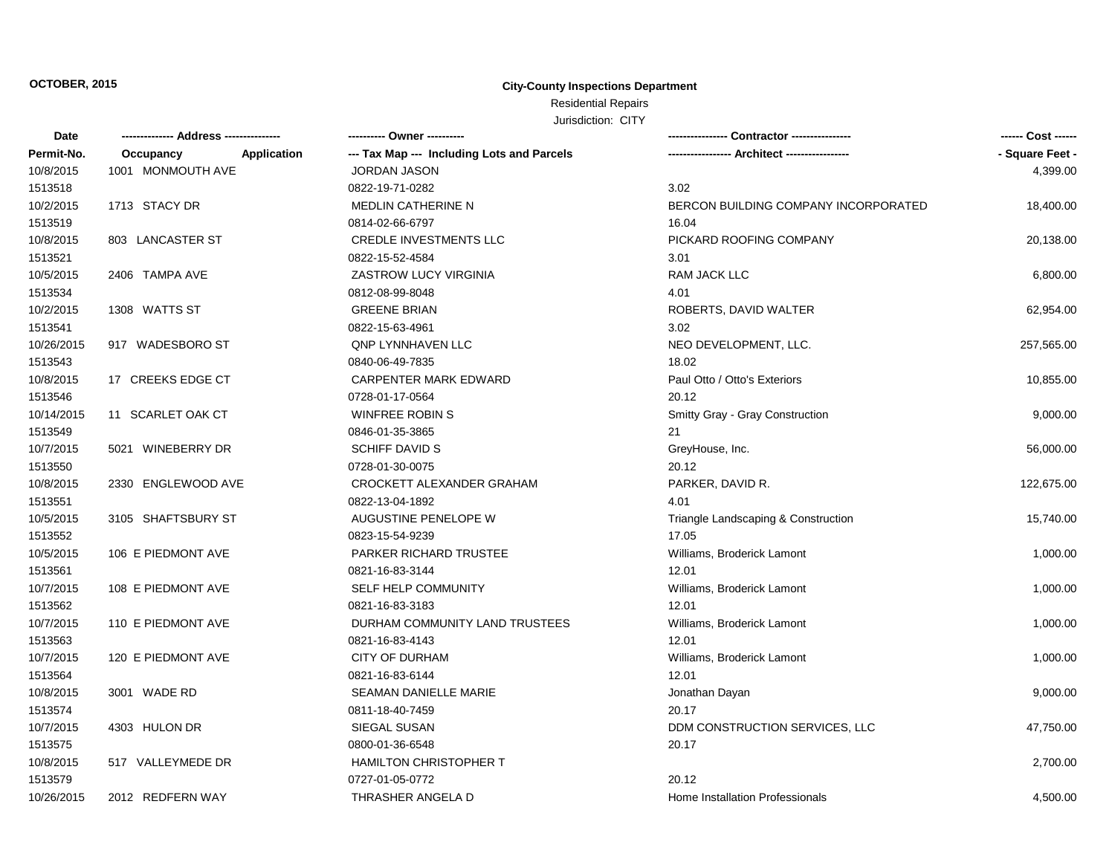# Residential Repairs

Jurisdiction: CITY

| Date       |                          | ---------- Owner ----------                | Contractor ---------------           | ------ Cost ------ |
|------------|--------------------------|--------------------------------------------|--------------------------------------|--------------------|
| Permit-No. | Application<br>Occupancy | --- Tax Map --- Including Lots and Parcels |                                      | - Square Feet -    |
| 10/8/2015  | 1001 MONMOUTH AVE        | <b>JORDAN JASON</b>                        |                                      | 4,399.00           |
| 1513518    |                          | 0822-19-71-0282                            | 3.02                                 |                    |
| 10/2/2015  | 1713 STACY DR            | <b>MEDLIN CATHERINE N</b>                  | BERCON BUILDING COMPANY INCORPORATED | 18,400.00          |
| 1513519    |                          | 0814-02-66-6797                            | 16.04                                |                    |
| 10/8/2015  | 803 LANCASTER ST         | <b>CREDLE INVESTMENTS LLC</b>              | PICKARD ROOFING COMPANY              | 20,138.00          |
| 1513521    |                          | 0822-15-52-4584                            | 3.01                                 |                    |
| 10/5/2015  | 2406 TAMPA AVE           | ZASTROW LUCY VIRGINIA                      | RAM JACK LLC                         | 6,800.00           |
| 1513534    |                          | 0812-08-99-8048                            | 4.01                                 |                    |
| 10/2/2015  | 1308 WATTS ST            | <b>GREENE BRIAN</b>                        | ROBERTS, DAVID WALTER                | 62,954.00          |
| 1513541    |                          | 0822-15-63-4961                            | 3.02                                 |                    |
| 10/26/2015 | 917 WADESBORO ST         | <b>QNP LYNNHAVEN LLC</b>                   | NEO DEVELOPMENT, LLC.                | 257,565.00         |
| 1513543    |                          | 0840-06-49-7835                            | 18.02                                |                    |
| 10/8/2015  | 17 CREEKS EDGE CT        | CARPENTER MARK EDWARD                      | Paul Otto / Otto's Exteriors         | 10,855.00          |
| 1513546    |                          | 0728-01-17-0564                            | 20.12                                |                    |
| 10/14/2015 | 11 SCARLET OAK CT        | <b>WINFREE ROBIN S</b>                     | Smitty Gray - Gray Construction      | 9,000.00           |
| 1513549    |                          | 0846-01-35-3865                            | 21                                   |                    |
| 10/7/2015  | 5021 WINEBERRY DR        | <b>SCHIFF DAVID S</b>                      | GreyHouse, Inc.                      | 56,000.00          |
| 1513550    |                          | 0728-01-30-0075                            | 20.12                                |                    |
| 10/8/2015  | 2330 ENGLEWOOD AVE       | CROCKETT ALEXANDER GRAHAM                  | PARKER, DAVID R.                     | 122,675.00         |
| 1513551    |                          | 0822-13-04-1892                            | 4.01                                 |                    |
| 10/5/2015  | 3105 SHAFTSBURY ST       | AUGUSTINE PENELOPE W                       | Triangle Landscaping & Construction  | 15,740.00          |
| 1513552    |                          | 0823-15-54-9239                            | 17.05                                |                    |
| 10/5/2015  | 106 E PIEDMONT AVE       | PARKER RICHARD TRUSTEE                     | Williams, Broderick Lamont           | 1,000.00           |
| 1513561    |                          | 0821-16-83-3144                            | 12.01                                |                    |
| 10/7/2015  | 108 E PIEDMONT AVE       | SELF HELP COMMUNITY                        | Williams, Broderick Lamont           | 1,000.00           |
| 1513562    |                          | 0821-16-83-3183                            | 12.01                                |                    |
| 10/7/2015  | 110 E PIEDMONT AVE       | DURHAM COMMUNITY LAND TRUSTEES             | Williams, Broderick Lamont           | 1,000.00           |
| 1513563    |                          | 0821-16-83-4143                            | 12.01                                |                    |
| 10/7/2015  | 120 E PIEDMONT AVE       | <b>CITY OF DURHAM</b>                      | Williams, Broderick Lamont           | 1,000.00           |
| 1513564    |                          | 0821-16-83-6144                            | 12.01                                |                    |
| 10/8/2015  | 3001 WADE RD             | SEAMAN DANIELLE MARIE                      | Jonathan Dayan                       | 9,000.00           |
| 1513574    |                          | 0811-18-40-7459                            | 20.17                                |                    |
| 10/7/2015  | 4303 HULON DR            | SIEGAL SUSAN                               | DDM CONSTRUCTION SERVICES, LLC       | 47,750.00          |
| 1513575    |                          | 0800-01-36-6548                            | 20.17                                |                    |
| 10/8/2015  | 517 VALLEYMEDE DR        | <b>HAMILTON CHRISTOPHER T</b>              |                                      | 2,700.00           |
| 1513579    |                          | 0727-01-05-0772                            | 20.12                                |                    |
| 10/26/2015 | 2012 REDFERN WAY         | THRASHER ANGELA D                          | Home Installation Professionals      | 4,500.00           |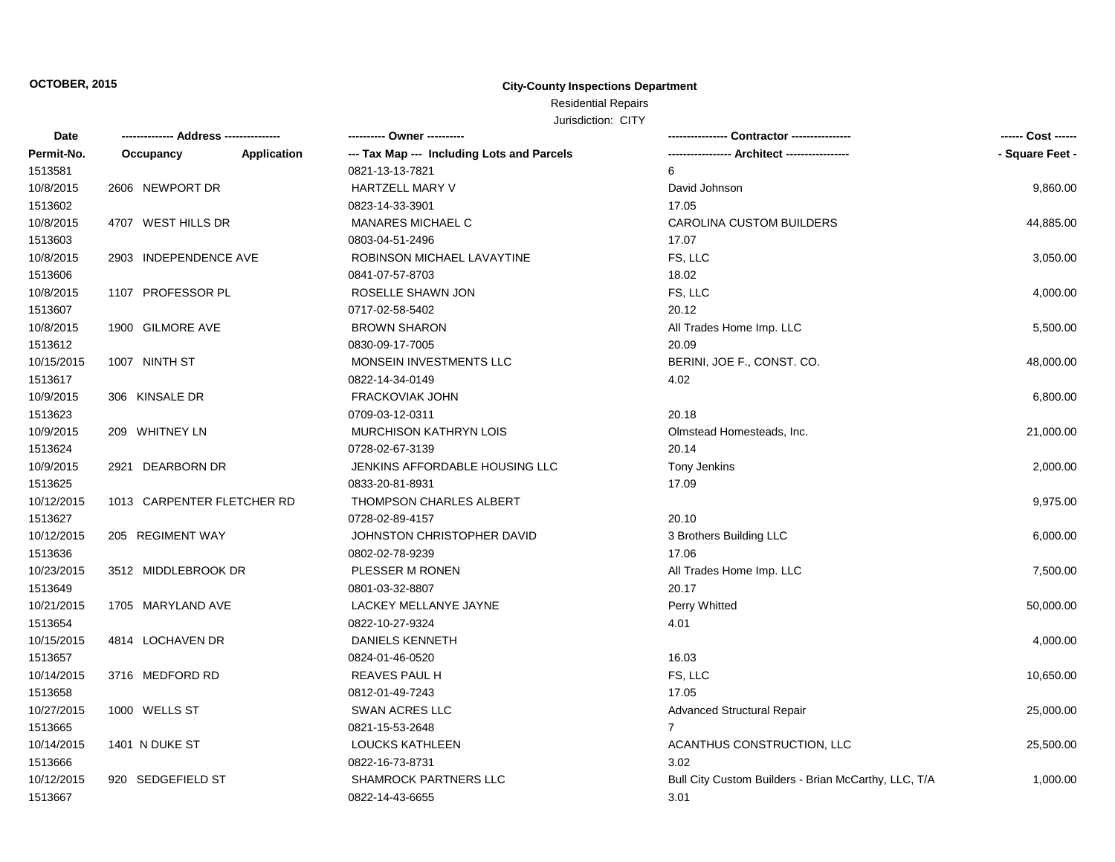## Residential Repairs

Jurisdiction: CITY

| Date       | -------------- Address --------------- |             |                                            | Contractor ----------------                          |                 |
|------------|----------------------------------------|-------------|--------------------------------------------|------------------------------------------------------|-----------------|
| Permit-No. | Occupancy                              | Application | --- Tax Map --- Including Lots and Parcels |                                                      | - Square Feet - |
| 1513581    |                                        |             | 0821-13-13-7821                            | 6                                                    |                 |
| 10/8/2015  | 2606 NEWPORT DR                        |             | HARTZELL MARY V                            | David Johnson                                        | 9,860.00        |
| 1513602    |                                        |             | 0823-14-33-3901                            | 17.05                                                |                 |
| 10/8/2015  | 4707 WEST HILLS DR                     |             | <b>MANARES MICHAEL C</b>                   | <b>CAROLINA CUSTOM BUILDERS</b>                      | 44,885.00       |
| 1513603    |                                        |             | 0803-04-51-2496                            | 17.07                                                |                 |
| 10/8/2015  | 2903 INDEPENDENCE AVE                  |             | ROBINSON MICHAEL LAVAYTINE                 | FS, LLC                                              | 3,050.00        |
| 1513606    |                                        |             | 0841-07-57-8703                            | 18.02                                                |                 |
| 10/8/2015  | 1107 PROFESSOR PL                      |             | ROSELLE SHAWN JON                          | FS, LLC                                              | 4,000.00        |
| 1513607    |                                        |             | 0717-02-58-5402                            | 20.12                                                |                 |
| 10/8/2015  | 1900 GILMORE AVE                       |             | <b>BROWN SHARON</b>                        | All Trades Home Imp. LLC                             | 5,500.00        |
| 1513612    |                                        |             | 0830-09-17-7005                            | 20.09                                                |                 |
| 10/15/2015 | 1007 NINTH ST                          |             | MONSEIN INVESTMENTS LLC                    | BERINI, JOE F., CONST. CO.                           | 48,000.00       |
| 1513617    |                                        |             | 0822-14-34-0149                            | 4.02                                                 |                 |
| 10/9/2015  | 306 KINSALE DR                         |             | <b>FRACKOVIAK JOHN</b>                     |                                                      | 6,800.00        |
| 1513623    |                                        |             | 0709-03-12-0311                            | 20.18                                                |                 |
| 10/9/2015  | 209 WHITNEY LN                         |             | <b>MURCHISON KATHRYN LOIS</b>              | Olmstead Homesteads, Inc.                            | 21,000.00       |
| 1513624    |                                        |             | 0728-02-67-3139                            | 20.14                                                |                 |
| 10/9/2015  | 2921 DEARBORN DR                       |             | JENKINS AFFORDABLE HOUSING LLC             | Tony Jenkins                                         | 2,000.00        |
| 1513625    |                                        |             | 0833-20-81-8931                            | 17.09                                                |                 |
| 10/12/2015 | 1013 CARPENTER FLETCHER RD             |             | THOMPSON CHARLES ALBERT                    |                                                      | 9,975.00        |
| 1513627    |                                        |             | 0728-02-89-4157                            | 20.10                                                |                 |
| 10/12/2015 | 205 REGIMENT WAY                       |             | JOHNSTON CHRISTOPHER DAVID                 | 3 Brothers Building LLC                              | 6,000.00        |
| 1513636    |                                        |             | 0802-02-78-9239                            | 17.06                                                |                 |
| 10/23/2015 | 3512 MIDDLEBROOK DR                    |             | PLESSER M RONEN                            | All Trades Home Imp. LLC                             | 7,500.00        |
| 1513649    |                                        |             | 0801-03-32-8807                            | 20.17                                                |                 |
| 10/21/2015 | 1705 MARYLAND AVE                      |             | LACKEY MELLANYE JAYNE                      | Perry Whitted                                        | 50,000.00       |
| 1513654    |                                        |             | 0822-10-27-9324                            | 4.01                                                 |                 |
| 10/15/2015 | 4814 LOCHAVEN DR                       |             | DANIELS KENNETH                            |                                                      | 4,000.00        |
| 1513657    |                                        |             | 0824-01-46-0520                            | 16.03                                                |                 |
| 10/14/2015 | 3716 MEDFORD RD                        |             | <b>REAVES PAUL H</b>                       | FS, LLC                                              | 10,650.00       |
| 1513658    |                                        |             | 0812-01-49-7243                            | 17.05                                                |                 |
| 10/27/2015 | 1000 WELLS ST                          |             | SWAN ACRES LLC                             | <b>Advanced Structural Repair</b>                    | 25,000.00       |
| 1513665    |                                        |             | 0821-15-53-2648                            | $\overline{7}$                                       |                 |
| 10/14/2015 | 1401 N DUKE ST                         |             | <b>LOUCKS KATHLEEN</b>                     | ACANTHUS CONSTRUCTION, LLC                           | 25,500.00       |
| 1513666    |                                        |             | 0822-16-73-8731                            | 3.02                                                 |                 |
| 10/12/2015 | 920 SEDGEFIELD ST                      |             | SHAMROCK PARTNERS LLC                      | Bull City Custom Builders - Brian McCarthy, LLC, T/A | 1,000.00        |
| 1513667    |                                        |             | 0822-14-43-6655                            | 3.01                                                 |                 |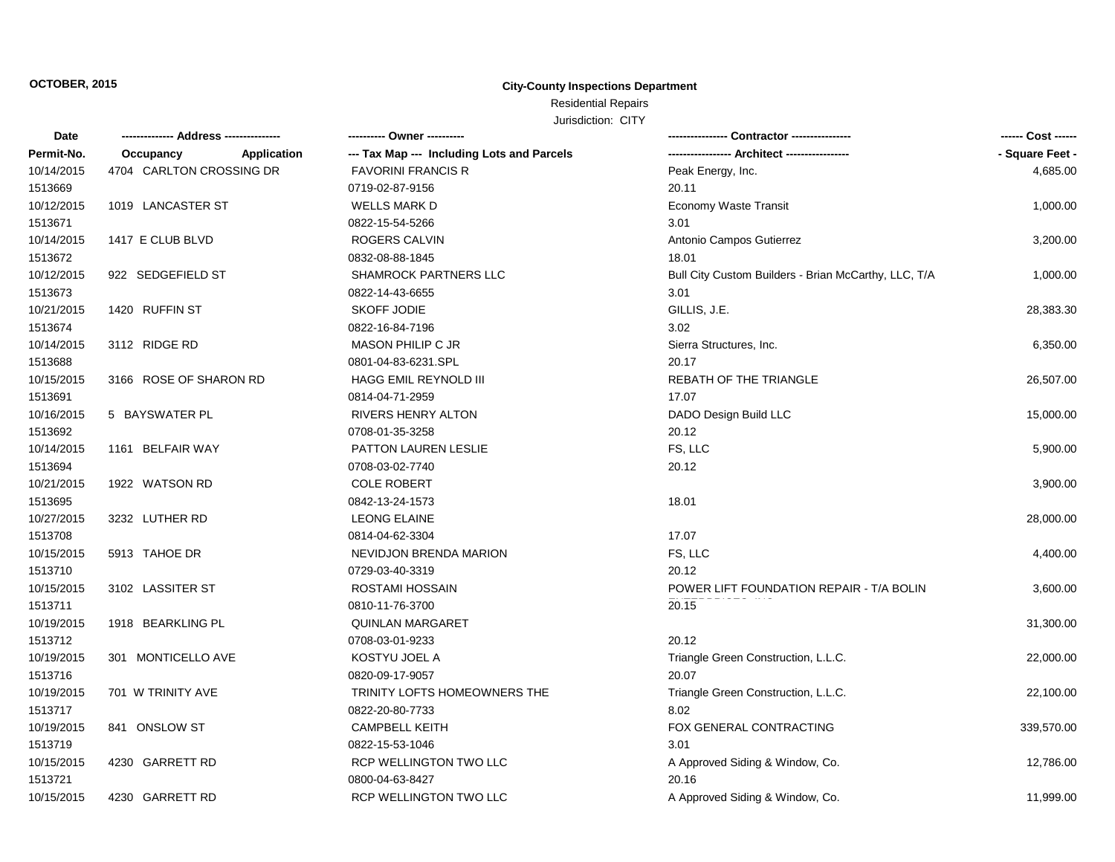# Residential Repairs

Jurisdiction: CITY

| Date       |                          | ---------- Owner ----------                |                                                      | ------ Cost ------ |
|------------|--------------------------|--------------------------------------------|------------------------------------------------------|--------------------|
| Permit-No. | Application<br>Occupancy | --- Tax Map --- Including Lots and Parcels |                                                      | - Square Feet -    |
| 10/14/2015 | 4704 CARLTON CROSSING DR | <b>FAVORINI FRANCIS R</b>                  | Peak Energy, Inc.                                    | 4,685.00           |
| 1513669    |                          | 0719-02-87-9156                            | 20.11                                                |                    |
| 10/12/2015 | 1019 LANCASTER ST        | WELLS MARK D                               | Economy Waste Transit                                | 1,000.00           |
| 1513671    |                          | 0822-15-54-5266                            | 3.01                                                 |                    |
| 10/14/2015 | 1417 E CLUB BLVD         | ROGERS CALVIN                              | Antonio Campos Gutierrez                             | 3,200.00           |
| 1513672    |                          | 0832-08-88-1845                            | 18.01                                                |                    |
| 10/12/2015 | 922 SEDGEFIELD ST        | <b>SHAMROCK PARTNERS LLC</b>               | Bull City Custom Builders - Brian McCarthy, LLC, T/A | 1,000.00           |
| 1513673    |                          | 0822-14-43-6655                            | 3.01                                                 |                    |
| 10/21/2015 | 1420 RUFFIN ST           | SKOFF JODIE                                | GILLIS, J.E.                                         | 28,383.30          |
| 1513674    |                          | 0822-16-84-7196                            | 3.02                                                 |                    |
| 10/14/2015 | 3112 RIDGE RD            | <b>MASON PHILIP C JR</b>                   | Sierra Structures, Inc.                              | 6,350.00           |
| 1513688    |                          | 0801-04-83-6231.SPL                        | 20.17                                                |                    |
| 10/15/2015 | 3166 ROSE OF SHARON RD   | <b>HAGG EMIL REYNOLD III</b>               | REBATH OF THE TRIANGLE                               | 26,507.00          |
| 1513691    |                          | 0814-04-71-2959                            | 17.07                                                |                    |
| 10/16/2015 | 5 BAYSWATER PL           | RIVERS HENRY ALTON                         | DADO Design Build LLC                                | 15,000.00          |
| 1513692    |                          | 0708-01-35-3258                            | 20.12                                                |                    |
| 10/14/2015 | 1161 BELFAIR WAY         | PATTON LAUREN LESLIE                       | FS, LLC                                              | 5,900.00           |
| 1513694    |                          | 0708-03-02-7740                            | 20.12                                                |                    |
| 10/21/2015 | 1922 WATSON RD           | <b>COLE ROBERT</b>                         |                                                      | 3,900.00           |
| 1513695    |                          | 0842-13-24-1573                            | 18.01                                                |                    |
| 10/27/2015 | 3232 LUTHER RD           | <b>LEONG ELAINE</b>                        |                                                      | 28,000.00          |
| 1513708    |                          | 0814-04-62-3304                            | 17.07                                                |                    |
| 10/15/2015 | 5913 TAHOE DR            | NEVIDJON BRENDA MARION                     | FS, LLC                                              | 4,400.00           |
| 1513710    |                          | 0729-03-40-3319                            | 20.12                                                |                    |
| 10/15/2015 | 3102 LASSITER ST         | ROSTAMI HOSSAIN                            | POWER LIFT FOUNDATION REPAIR - T/A BOLIN             | 3,600.00           |
| 1513711    |                          | 0810-11-76-3700                            | 20.15                                                |                    |
| 10/19/2015 | 1918 BEARKLING PL        | <b>QUINLAN MARGARET</b>                    |                                                      | 31,300.00          |
| 1513712    |                          | 0708-03-01-9233                            | 20.12                                                |                    |
| 10/19/2015 | 301 MONTICELLO AVE       | KOSTYU JOEL A                              | Triangle Green Construction, L.L.C.                  | 22,000.00          |
| 1513716    |                          | 0820-09-17-9057                            | 20.07                                                |                    |
| 10/19/2015 | 701 W TRINITY AVE        | TRINITY LOFTS HOMEOWNERS THE               | Triangle Green Construction, L.L.C.                  | 22,100.00          |
| 1513717    |                          | 0822-20-80-7733                            | 8.02                                                 |                    |
| 10/19/2015 | 841 ONSLOW ST            | <b>CAMPBELL KEITH</b>                      | FOX GENERAL CONTRACTING                              | 339,570.00         |
| 1513719    |                          | 0822-15-53-1046                            | 3.01                                                 |                    |
| 10/15/2015 | 4230 GARRETT RD          | RCP WELLINGTON TWO LLC                     | A Approved Siding & Window, Co.                      | 12,786.00          |
| 1513721    |                          | 0800-04-63-8427                            | 20.16                                                |                    |
| 10/15/2015 | 4230 GARRETT RD          | RCP WELLINGTON TWO LLC                     | A Approved Siding & Window, Co.                      | 11,999.00          |
|            |                          |                                            |                                                      |                    |